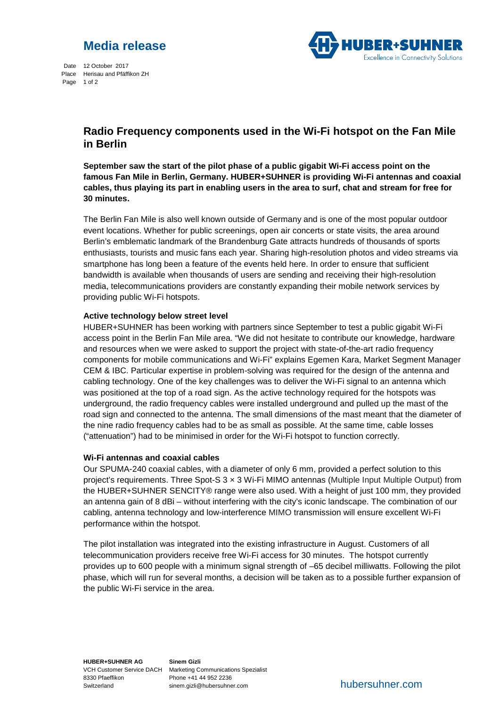



Date 12 October 2017 Place Herisau and Pfäffikon ZH Page 1 of 2

## **Radio Frequency components used in the Wi-Fi hotspot on the Fan Mile in Berlin**

**September saw the start of the pilot phase of a public gigabit Wi-Fi access point on the famous Fan Mile in Berlin, Germany. HUBER+SUHNER is providing Wi-Fi antennas and coaxial cables, thus playing its part in enabling users in the area to surf, chat and stream for free for 30 minutes.**

The Berlin Fan Mile is also well known outside of Germany and is one of the most popular outdoor event locations. Whether for public screenings, open air concerts or state visits, the area around Berlin's emblematic landmark of the Brandenburg Gate attracts hundreds of thousands of sports enthusiasts, tourists and music fans each year. Sharing high-resolution photos and video streams via smartphone has long been a feature of the events held here. In order to ensure that sufficient bandwidth is available when thousands of users are sending and receiving their high-resolution media, telecommunications providers are constantly expanding their mobile network services by providing public Wi-Fi hotspots.

### **Active technology below street level**

HUBER+SUHNER has been working with partners since September to test a public gigabit Wi-Fi access point in the Berlin Fan Mile area. "We did not hesitate to contribute our knowledge, hardware and resources when we were asked to support the project with state-of-the-art radio frequency components for mobile communications and Wi-Fi" explains Egemen Kara, Market Segment Manager CEM & IBC. Particular expertise in problem-solving was required for the design of the antenna and cabling technology. One of the key challenges was to deliver the Wi-Fi signal to an antenna which was positioned at the top of a road sign. As the active technology required for the hotspots was underground, the radio frequency cables were installed underground and pulled up the mast of the road sign and connected to the antenna. The small dimensions of the mast meant that the diameter of the nine radio frequency cables had to be as small as possible. At the same time, cable losses ("attenuation") had to be minimised in order for the Wi-Fi hotspot to function correctly.

### **Wi-Fi antennas and coaxial cables**

Our SPUMA-240 coaxial cables, with a diameter of only 6 mm, provided a perfect solution to this project's requirements. Three Spot-S 3 × 3 Wi-Fi MIMO antennas (Multiple Input Multiple Output) from the HUBER+SUHNER SENCITY® range were also used. With a height of just 100 mm, they provided an antenna gain of 8 dBi – without interfering with the city's iconic landscape. The combination of our cabling, antenna technology and low-interference MIMO transmission will ensure excellent Wi-Fi performance within the hotspot.

The pilot installation was integrated into the existing infrastructure in August. Customers of all telecommunication providers receive free Wi-Fi access for 30 minutes. The hotspot currently provides up to 600 people with a minimum signal strength of –65 decibel milliwatts. Following the pilot phase, which will run for several months, a decision will be taken as to a possible further expansion of the public Wi-Fi service in the area.

**HUBER+SUHNER AG** 8330 Pfaeffikon Switzerland

VCH Customer Service DACH Marketing Communications Spezialist **Sinem Gizli** Phone +41 44 952 2236 sinem.gizli@hubersuhner.com hubersuhner.com